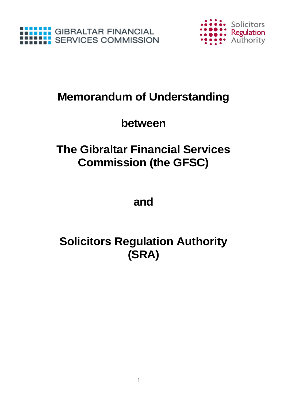



## **Memorandum of Understanding**

### **between**

### **The Gibraltar Financial Services Commission (the GFSC)**

**and**

# **Solicitors Regulation Authority (SRA)**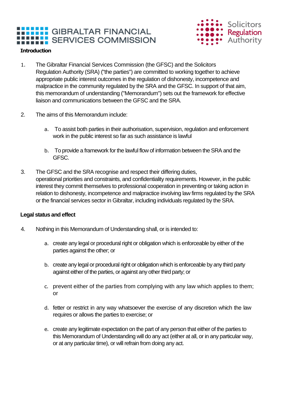### **GIBRALTAR FINANCIAL HILL:** SERVICES COMMISSION



#### **Introduction**

- 1. The Gibraltar Financial Services Commission (the GFSC) and the Solicitors Regulation Authority (SRA) ("the parties") are committed to working together to achieve appropriate public interest outcomes in the regulation of dishonesty, incompetence and malpractice in the community regulated by the SRA and the GFSC. In support of that aim, this memorandum of understanding ("Memorandum") sets out the framework for effective liaison and communications between the GFSC and the SRA.
- 2. The aims of this Memorandum include:
	- a. To assist both parties in their authorisation, supervision, regulation and enforcement work in the public interest so far as such assistance is lawful
	- b. To provide a framework for the lawful flow of information between the SRA and the GFSC.
- 3. The GFSC and the SRA recognise and respect their differing duties, operational priorities and constraints, and confidentiality requirements. However, in the public interest they commit themselves to professional cooperation in preventing or taking action in relation to dishonesty, incompetence and malpractice involving law firms regulated by the SRA or the financial services sector in Gibraltar, including individuals regulated by the SRA.

#### **Legal status and effect**

- 4. Nothing in this Memorandum of Understanding shall, or is intended to:
	- a. create any legal or procedural right or obligation which is enforceable by either of the parties against the other; or
	- b. create any legal or procedural right or obligation which is enforceable by any third party against either of the parties, or against any other third party; or
	- c. prevent either of the parties from complying with any law which applies to them; or
	- d. fetter or restrict in any way whatsoever the exercise of any discretion which the law requires or allows the parties to exercise; or
	- e. create any legitimate expectation on the part of any person that either of the parties to this Memorandum of Understanding will do any act (either at all, or in any particular way, or at any particular time), or will refrain from doing any act.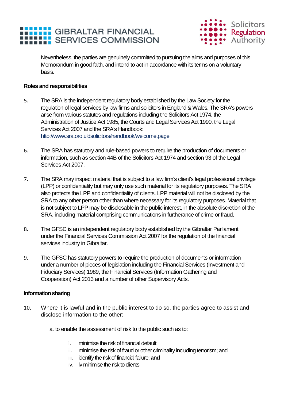



Nevertheless, the parties are genuinely committed to pursuing the aims and purposes of this Memorandum in good faith, and intend to act in accordance with its terms on a voluntary basis.

#### **Roles and responsibilities**

- 5. The SRA is the independent regulatory body established by the Law Society for the regulation of legal services by law firms and solicitors in England & Wales. The SRA's powers arise from various statutes and regulations including the Solicitors Act 1974, the Administration of Justice Act 1985, the Courts and Legal Services Act 1990, the Legal Services Act 2007 and the SRA's Handbook: htto://www.sra.oro.uldsolicitors/handbook/welcome.page
- 6. The SRA has statutory and rule-based powers to require the production of documents or information, such as section 44B of the Solicitors Act 1974 and section 93 of the Legal Services Act 2007.
- 7. The SRA may inspect material that is subject to a law firm's client's legal professional privilege (LPP) or confidentiality but may only use such material for its regulatory purposes. The SRA also protects the LPP and confidentiality of clients. LPP material will not be disclosed by the SRA to any other person other than where necessary for its regulatory purposes. Material that is not subject to LPP may be disclosable in the public interest, in the absolute discretion of the SRA, including material comprising communications in furtherance of crime or fraud.
- 8. The GFSC is an independent regulatory body established by the Gibraltar Parliament under the Financial Services Commission Act 2007 for the regulation of the financial services industry in Gibraltar.
- 9. The GFSC has statutory powers to require the production of documents or information under a number of pieces of legislation including the Financial Services (Investment and Fiduciary Services) 1989, the Financial Services (Information Gathering and Cooperation) Act 2013 and a number of other Supervisory Acts.

#### **Information sharing**

- 10. Where it is lawful and in the public interest to do so, the parties agree to assist and disclose information to the other:
	- a. to enable the assessment of risk to the public such as to:
		- i. minimise the risk of financial default;
		- ii. minimise the risk of fraud or other criminality including terrorism; and
		- iii. identify the risk of financial failure; **and**
		- iv. iv minimise the risk to clients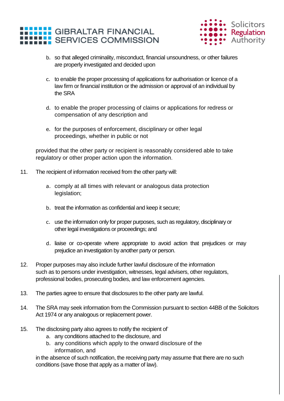



- b. so that alleged criminality, misconduct, financial unsoundness, or other failures are properly investigated and decided upon
- c. to enable the proper processing of applications for authorisation or licence of a law firm or financial institution or the admission or approval of an individual by the SRA
- d. to enable the proper processing of claims or applications for redress or compensation of any description and
- e. for the purposes of enforcement, disciplinary or other legal proceedings, whether in public or not

provided that the other party or recipient is reasonably considered able to take regulatory or other proper action upon the information.

- 11. The recipient of information received from the other party will:
	- a. comply at all times with relevant or analogous data protection legislation;
	- b. treat the information as confidential and keep it secure;
	- c. use the information only for proper purposes, such as regulatory, disciplinary or other legal investigations or proceedings; and
	- d. liaise or co-operate where appropriate to avoid action that prejudices or may prejudice an investigation by another party or person.
- 12. Proper purposes may also include further lawful disclosure of the information such as to persons under investigation, witnesses, legal advisers, other regulators, professional bodies, prosecuting bodies, and law enforcement agencies.
- 13. The parties agree to ensure that disclosures to the other party are lawful.
- 14. The SRA may seek information from the Commission pursuant to section 44BB of the Solicitors Act 1974 or any analogous or replacement power.
- 15. The disclosing party also agrees to notify the recipient of
	- a. any conditions attached to the disclosure, and
	- b. any conditions which apply to the onward disclosure of the information, and

in the absence of such notification, the receiving party may assume that there are no such conditions (save those that apply as a matter of law).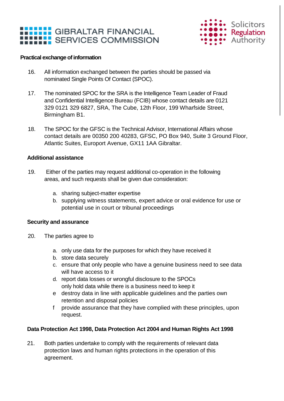

#### **Practical exchange of information**

- 16. All information exchanged between the parties should be passed via nominated Single Points Of Contact (SPOC).
- 17. The nominated SPOC for the SRA is the Intelligence Team Leader of Fraud and Confidential Intelligence Bureau (FCIB) whose contact details are 0121 329 0121 329 6827, SRA, The Cube, 12th Floor, 199 Wharfside Street, Birmingham B1.
- 18. The SPOC for the GFSC is the Technical Advisor, International Affairs whose contact details are 00350 200 40283, GFSC, PO Box 940, Suite 3 Ground Floor, Atlantic Suites, Europort Avenue, GX11 1AA Gibraltar.

#### **Additional assistance**

- 19. Either of the parties may request additional co-operation in the following areas, and such requests shall be given due consideration:
	- a. sharing subject-matter expertise
	- b. supplying witness statements, expert advice or oral evidence for use or potential use in court or tribunal proceedings

#### **Security and assurance**

- 20. The parties agree to
	- a. only use data for the purposes for which they have received it
	- b. store data securely
	- c. ensure that only people who have a genuine business need to see data will have access to it
	- d. report data losses or wrongful disclosure to the SPOCs only hold data while there is a business need to keep it
	- e destroy data in line with applicable guidelines and the parties own retention and disposal policies
	- f provide assurance that they have complied with these principles, upon request.

#### **Data Protection Act 1998, Data Protection Act 2004 and Human Rights Act 1998**

21. Both parties undertake to comply with the requirements of relevant data protection laws and human rights protections in the operation of this agreement.